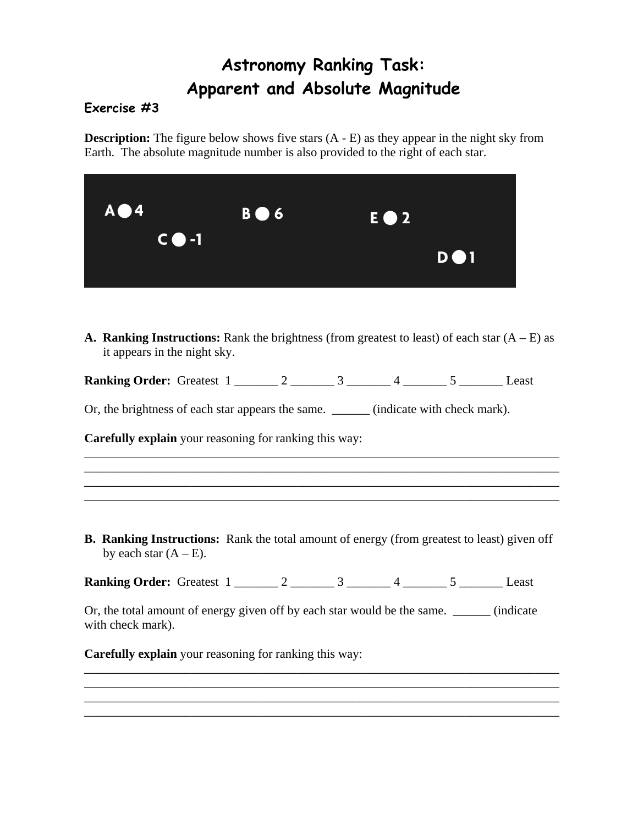## **Astronomy Ranking Task: Apparent and Absolute Magnitude**

## **Exercise #3**

**Description:** The figure below shows five stars  $(A - E)$  as they appear in the night sky from Earth. The absolute magnitude number is also provided to the right of each star.

| $A \bigcirc 4$ | $B \bullet 6$ | E <b>O</b> 2 |            |
|----------------|---------------|--------------|------------|
| $C \bullet -1$ |               |              | <b>DO1</b> |

**A. Ranking Instructions:** Rank the brightness (from greatest to least) of each star  $(A - E)$  as it appears in the night sky.

**Ranking Order:** Greatest 1 \_\_\_\_\_\_\_ 2 \_\_\_\_\_\_\_ 3 \_\_\_\_\_\_\_ 4 \_\_\_\_\_\_ 5 \_\_\_\_\_\_\_ Least

Or, the brightness of each star appears the same. \_\_\_\_\_\_\_ (indicate with check mark).

**Carefully explain** your reasoning for ranking this way:

**B. Ranking Instructions:** Rank the total amount of energy (from greatest to least) given off by each star  $(A - E)$ .

\_\_\_\_\_\_\_\_\_\_\_\_\_\_\_\_\_\_\_\_\_\_\_\_\_\_\_\_\_\_\_\_\_\_\_\_\_\_\_\_\_\_\_\_\_\_\_\_\_\_\_\_\_\_\_\_\_\_\_\_\_\_\_\_\_\_\_\_\_\_\_\_\_\_\_\_

\_\_\_\_\_\_\_\_\_\_\_\_\_\_\_\_\_\_\_\_\_\_\_\_\_\_\_\_\_\_\_\_\_\_\_\_\_\_\_\_\_\_\_\_\_\_\_\_\_\_\_\_\_\_\_\_\_\_\_\_\_\_\_\_\_\_\_\_\_\_\_\_\_\_\_\_ \_\_\_\_\_\_\_\_\_\_\_\_\_\_\_\_\_\_\_\_\_\_\_\_\_\_\_\_\_\_\_\_\_\_\_\_\_\_\_\_\_\_\_\_\_\_\_\_\_\_\_\_\_\_\_\_\_\_\_\_\_\_\_\_\_\_\_\_\_\_\_\_\_\_\_\_

**Ranking Order:** Greatest 1 \_\_\_\_\_\_\_ 2 \_\_\_\_\_\_\_ 3 \_\_\_\_\_\_ 4 \_\_\_\_\_\_ 5 \_\_\_\_\_\_ Least

Or, the total amount of energy given off by each star would be the same. \_\_\_\_\_\_ (indicate with check mark).

\_\_\_\_\_\_\_\_\_\_\_\_\_\_\_\_\_\_\_\_\_\_\_\_\_\_\_\_\_\_\_\_\_\_\_\_\_\_\_\_\_\_\_\_\_\_\_\_\_\_\_\_\_\_\_\_\_\_\_\_\_\_\_\_\_\_\_\_\_\_\_\_\_\_\_\_ \_\_\_\_\_\_\_\_\_\_\_\_\_\_\_\_\_\_\_\_\_\_\_\_\_\_\_\_\_\_\_\_\_\_\_\_\_\_\_\_\_\_\_\_\_\_\_\_\_\_\_\_\_\_\_\_\_\_\_\_\_\_\_\_\_\_\_\_\_\_\_\_\_\_\_\_

\_\_\_\_\_\_\_\_\_\_\_\_\_\_\_\_\_\_\_\_\_\_\_\_\_\_\_\_\_\_\_\_\_\_\_\_\_\_\_\_\_\_\_\_\_\_\_\_\_\_\_\_\_\_\_\_\_\_\_\_\_\_\_\_\_\_\_\_\_\_\_\_\_\_\_\_

**Carefully explain** your reasoning for ranking this way: